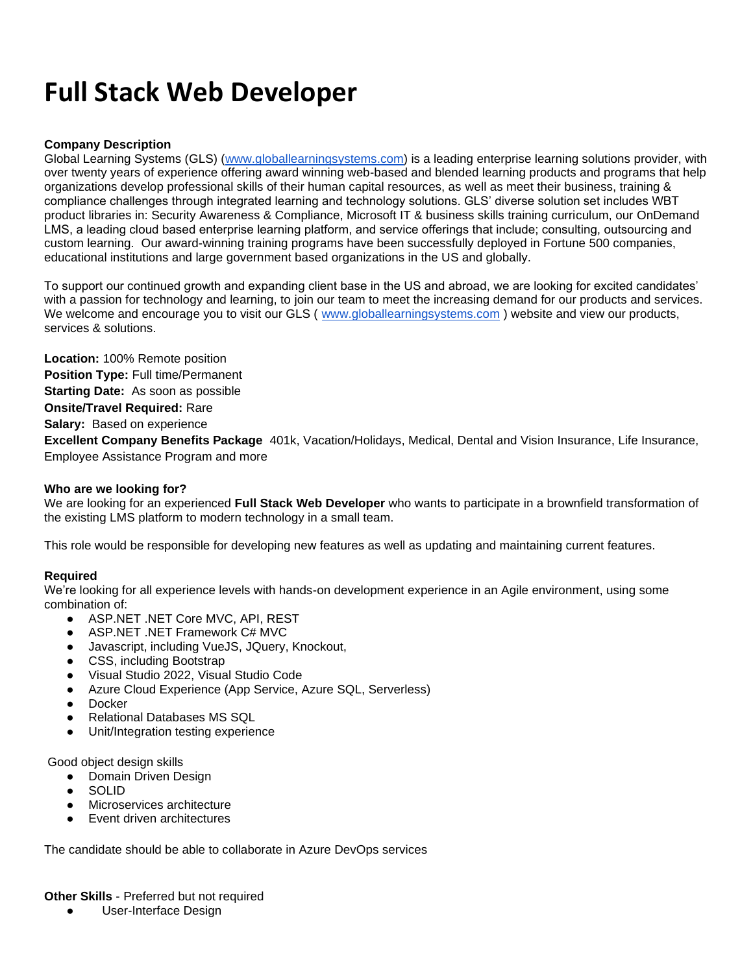# **Full Stack Web Developer**

### **Company Description**

Global Learning Systems (GLS) [\(www.globallearningsystems.com\)](http://www.globallearningsystems.com/) is a leading enterprise learning solutions provider, with over twenty years of experience offering award winning web-based and blended learning products and programs that help organizations develop professional skills of their human capital resources, as well as meet their business, training & compliance challenges through integrated learning and technology solutions. GLS' diverse solution set includes WBT product libraries in: Security Awareness & Compliance, Microsoft IT & business skills training curriculum, our OnDemand LMS, a leading cloud based enterprise learning platform, and service offerings that include; consulting, outsourcing and custom learning. Our award-winning training programs have been successfully deployed in Fortune 500 companies, educational institutions and large government based organizations in the US and globally.

To support our continued growth and expanding client base in the US and abroad, we are looking for excited candidates' with a passion for technology and learning, to join our team to meet the increasing demand for our products and services. We welcome and encourage you to visit our GLS ( [www.globallearningsystems.com](http://www.globallearningsystems.com/) ) website and view our products, services & solutions.

**Location:** 100% Remote position **Position Type:** Full time/Permanent **Starting Date:** As soon as possible **Onsite/Travel Required:** Rare **Salary:** Based on experience **Excellent Company Benefits Package** 401k, Vacation/Holidays, Medical, Dental and Vision Insurance, Life Insurance, Employee Assistance Program and more

#### **Who are we looking for?**

We are looking for an experienced **Full Stack Web Developer** who wants to participate in a brownfield transformation of the existing LMS platform to modern technology in a small team.

This role would be responsible for developing new features as well as updating and maintaining current features.

#### **Required**

We're looking for all experience levels with hands-on development experience in an Agile environment, using some combination of:

- ASP.NET .NET Core MVC, API, REST
- ASP.NET .NET Framework C# MVC
- Javascript, including VueJS, JQuery, Knockout,
- CSS, including Bootstrap
- Visual Studio 2022, Visual Studio Code
- Azure Cloud Experience (App Service, Azure SQL, Serverless)
- Docker
- Relational Databases MS SQL
- Unit/Integration testing experience

Good object design skills

- Domain Driven Design
- **SOLID**
- Microservices architecture
- **Event driven architectures**

The candidate should be able to collaborate in Azure DevOps services

**Other Skills** - Preferred but not required

● User-Interface Design